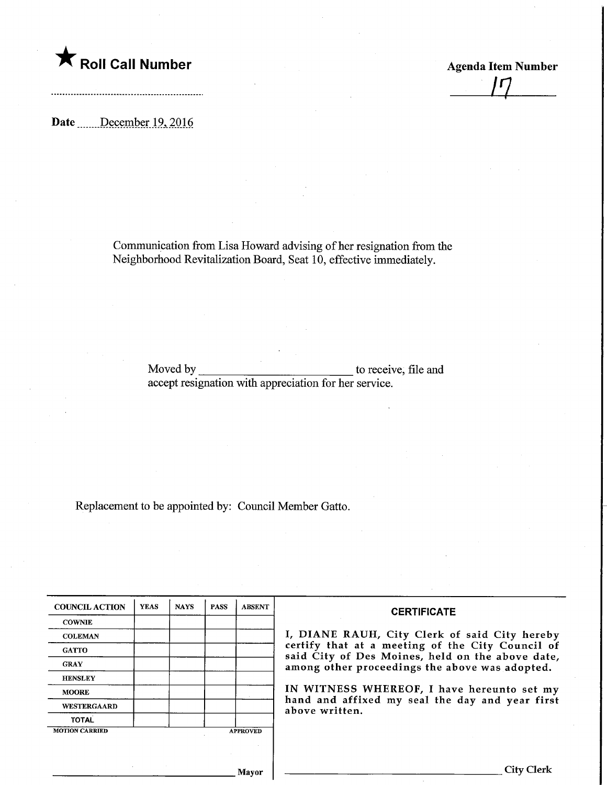

Date December 19, 2016

Communication from Lisa Howard advising of her resignation from the Neighborhood Revitalization Board, Seat 10, effective immediately.

<u>IJ</u>

Moved by accept resignation with appreciation for her service. to receive, file and

Replacement to be appointed by: Council Member Gatto.

| <b>COUNCIL ACTION</b> | <b>YEAS</b> | <b>NAYS</b> | <b>PASS</b> | <b>ABSENT</b>   | <b>CERTIFICATE</b>                                                                                 |
|-----------------------|-------------|-------------|-------------|-----------------|----------------------------------------------------------------------------------------------------|
| <b>COWNIE</b>         |             |             |             |                 |                                                                                                    |
| <b>COLEMAN</b>        |             |             |             |                 | I, DIANE RAUH, City Clerk of said City hereby                                                      |
| <b>GATTO</b>          |             |             |             |                 | certify that at a meeting of the City Council of                                                   |
| <b>GRAY</b>           |             |             |             |                 | said City of Des Moines, held on the above date,<br>among other proceedings the above was adopted. |
| <b>HENSLEY</b>        |             |             |             |                 |                                                                                                    |
| <b>MOORE</b>          |             |             |             |                 | IN WITNESS WHEREOF, I have hereunto set my                                                         |
| <b>WESTERGAARD</b>    |             |             |             |                 | hand and affixed my seal the day and year first<br>above written.                                  |
| <b>TOTAL</b>          |             |             |             |                 |                                                                                                    |
| <b>MOTION CARRIED</b> |             |             |             | <b>APPROVED</b> |                                                                                                    |
|                       |             |             |             |                 |                                                                                                    |
|                       |             |             |             |                 |                                                                                                    |
|                       |             |             |             | Mayor           | <b>City Clerk</b>                                                                                  |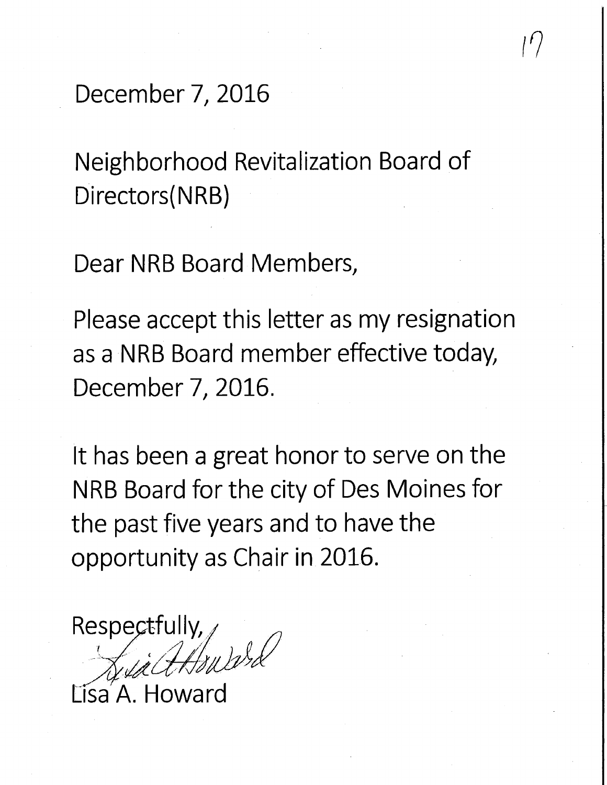December 7, 2016

Neighborhood Revitalization Board of Directors(NRB)

Dear NRB Board Members,

Please accept this letter as my resignation as a NRB Board member effective today, December 7, 2016.

It has been a great honor to serve on the NRB Board for the city of Des Moines for the past five years and to have the opportunity as Chair in 2016.

Respectfully  $\gamma_{ll}$  )  $\gamma_{rd}$ 

Lisa<sup>'</sup>A. Howard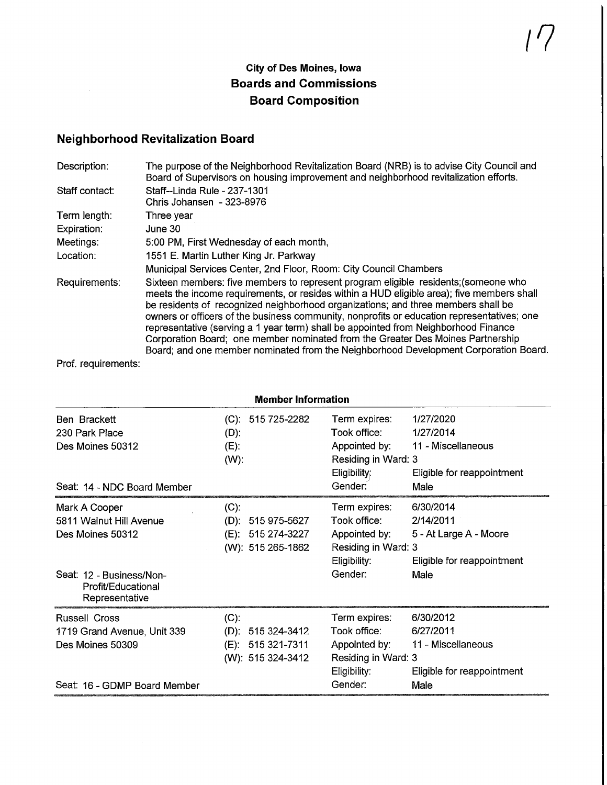## City of Des Moines, Iowa Boards and Commissions Board Composition

## Neighborhood Revitalization Board

| Description:   | The purpose of the Neighborhood Revitalization Board (NRB) is to advise City Council and<br>Board of Supervisors on housing improvement and neighborhood revitalization efforts.                                                                                                                                                                                                                                                                                                                                                                                                                                                     |
|----------------|--------------------------------------------------------------------------------------------------------------------------------------------------------------------------------------------------------------------------------------------------------------------------------------------------------------------------------------------------------------------------------------------------------------------------------------------------------------------------------------------------------------------------------------------------------------------------------------------------------------------------------------|
| Staff contact: | Staff--Linda Rule - 237-1301<br>Chris Johansen - 323-8976                                                                                                                                                                                                                                                                                                                                                                                                                                                                                                                                                                            |
| Term length:   | Three year                                                                                                                                                                                                                                                                                                                                                                                                                                                                                                                                                                                                                           |
| Expiration:    | June 30                                                                                                                                                                                                                                                                                                                                                                                                                                                                                                                                                                                                                              |
| Meetings:      | 5:00 PM, First Wednesday of each month,                                                                                                                                                                                                                                                                                                                                                                                                                                                                                                                                                                                              |
| Location:      | 1551 E. Martin Luther King Jr. Parkway                                                                                                                                                                                                                                                                                                                                                                                                                                                                                                                                                                                               |
|                | Municipal Services Center, 2nd Floor, Room: City Council Chambers                                                                                                                                                                                                                                                                                                                                                                                                                                                                                                                                                                    |
| Requirements:  | Sixteen members: five members to represent program eligible residents; (someone who<br>meets the income requirements, or resides within a HUD eligible area); five members shall<br>be residents of recognized neighborhood organizations; and three members shall be<br>owners or officers of the business community, nonprofits or education representatives; one<br>representative (serving a 1 year term) shall be appointed from Neighborhood Finance<br>Corporation Board; one member nominated from the Greater Des Moines Partnership<br>Board; and one member nominated from the Neighborhood Development Corporation Board |

Prof. requirements:

 $\sim$ 

| <b>Member Information</b>                                                                                                        |                                                                           |                                                                                                     |                                                                                        |  |
|----------------------------------------------------------------------------------------------------------------------------------|---------------------------------------------------------------------------|-----------------------------------------------------------------------------------------------------|----------------------------------------------------------------------------------------|--|
| Ben Brackett<br>230 Park Place<br>Des Moines 50312<br>Seat: 14 - NDC Board Member                                                | $(C): 515725-2282$<br>$(D)$ :<br>$(E)$ :<br>$(W)$ :                       | Term expires:<br>Took office:<br>Appointed by:<br>Residing in Ward: 3<br>$E$ ligibility;<br>Gender: | 1/27/2020<br>1/27/2014<br>11 - Miscellaneous<br>Eligible for reappointment<br>Male     |  |
| Mark A Cooper<br>5811 Walnut Hill Avenue<br>Des Moines 50312<br>Seat: 12 - Business/Non-<br>Profit/Educational<br>Representative | $(C)$ :<br>$(D): 515975-5627$<br>(E): 515 274-3227<br>(W): 515 265-1862   | Term expires:<br>Took office:<br>Appointed by:<br>Residing in Ward: 3<br>Eligibility:<br>Gender:    | 6/30/2014<br>2/14/2011<br>5 - At Large A - Moore<br>Eligible for reappointment<br>Male |  |
| <b>Russell Cross</b><br>1719 Grand Avenue, Unit 339<br>Des Moines 50309<br>Seat. 16 - GDMP Board Member                          | $(C)$ :<br>$(D)$ : 515 324-3412<br>(E): 515 321-7311<br>(W): 515 324-3412 | Term expires:<br>Took office:<br>Appointed by:<br>Residing in Ward: 3<br>Eligibility:<br>Gender:    | 6/30/2012<br>6/27/2011<br>11 - Miscellaneous<br>Eligible for reappointment<br>Male     |  |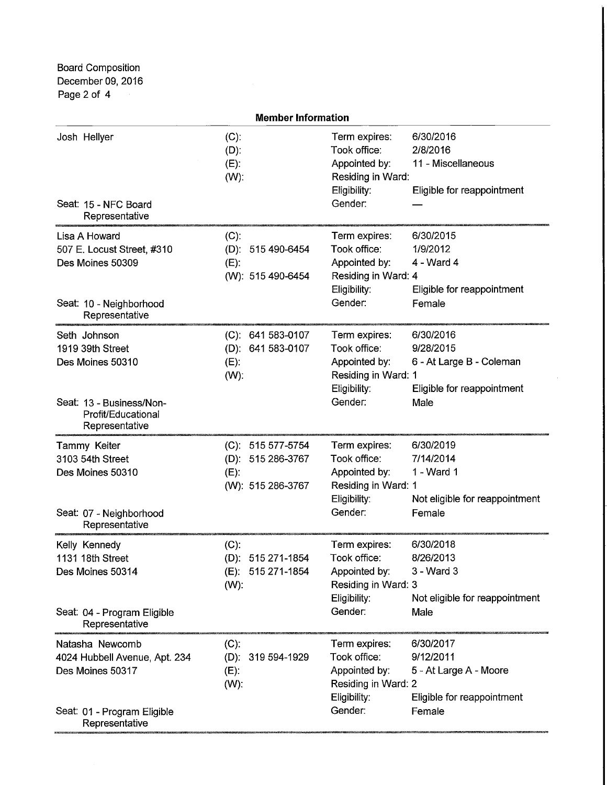Board Composition December 09, 2016 Page 2 of 4

| <b>Member Information</b>                                                                                                |                                                                        |                                                                                                  |                                                                                          |  |
|--------------------------------------------------------------------------------------------------------------------------|------------------------------------------------------------------------|--------------------------------------------------------------------------------------------------|------------------------------------------------------------------------------------------|--|
| Josh Hellyer<br>Seat: 15 - NFC Board<br>Representative                                                                   | $(C)$ :<br>$(D)$ :<br>$(E)$ :<br>$(W)$ :                               | Term expires:<br>Took office:<br>Appointed by:<br>Residing in Ward:<br>Eligibility:<br>Gender:   | 6/30/2016<br>2/8/2016<br>11 - Miscellaneous<br>Eligible for reappointment                |  |
| Lisa A Howard<br>507 E. Locust Street, #310<br>Des Moines 50309<br>Seat: 10 - Neighborhood<br>Representative             | $(C)$ :<br>(D): 515 490-6454<br>$(E)$ :<br>(W): 515 490-6454           | Term expires:<br>Took office:<br>Appointed by:<br>Residing in Ward: 4<br>Eligibility:<br>Gender: | 6/30/2015<br>1/9/2012<br>4 - Ward 4<br>Eligible for reappointment<br>Female              |  |
| Seth Johnson<br>1919 39th Street<br>Des Moines 50310<br>Seat: 13 - Business/Non-<br>Profit/Educational<br>Representative | (C): 641 583-0107<br>(D): 641 583-0107<br>$(E)$ :<br>$(W)$ :           | Term expires:<br>Took office:<br>Appointed by:<br>Residing in Ward: 1<br>Eligibility:<br>Gender: | 6/30/2016<br>9/28/2015<br>6 - At Large B - Coleman<br>Eligible for reappointment<br>Male |  |
| Tammy Keiter<br>3103 54th Street<br>Des Moines 50310<br>Seat: 07 - Neighborhood<br>Representative                        | (C): 515 577-5754<br>(D): 515 286-3767<br>$(E)$ :<br>(W): 515 286-3767 | Term expires:<br>Took office:<br>Appointed by:<br>Residing in Ward: 1<br>Eligibility:<br>Gender: | 6/30/2019<br>7/14/2014<br>1 - Ward 1<br>Not eligible for reappointment<br>Female         |  |
| Kelly Kennedy<br>1131 18th Street<br>Des Moines 50314<br>Seat: 04 - Program Eligible<br>Representative                   | (C).<br>(D): 515 271-1854<br>(E): 515 271-1854<br>$(W)$ :              | Term expires:<br>Took office:<br>Appointed by:<br>Residing in Ward: 3<br>Eligibility:<br>Gender: | 6/30/2018<br>8/26/2013<br>3 - Ward 3<br>Not eligible for reappointment<br>Male           |  |
| Natasha Newcomb<br>4024 Hubbell Avenue, Apt. 234<br>Des Moines 50317<br>Seat: 01 - Program Eligible<br>Representative    | $(C)$ :<br>(D): 319 594-1929<br>$(E)$ :<br>$(W)$ :                     | Term expires:<br>Took office:<br>Appointed by:<br>Residing in Ward: 2<br>Eligibility:<br>Gender: | 6/30/2017<br>9/12/2011<br>5 - At Large A - Moore<br>Eligible for reappointment<br>Female |  |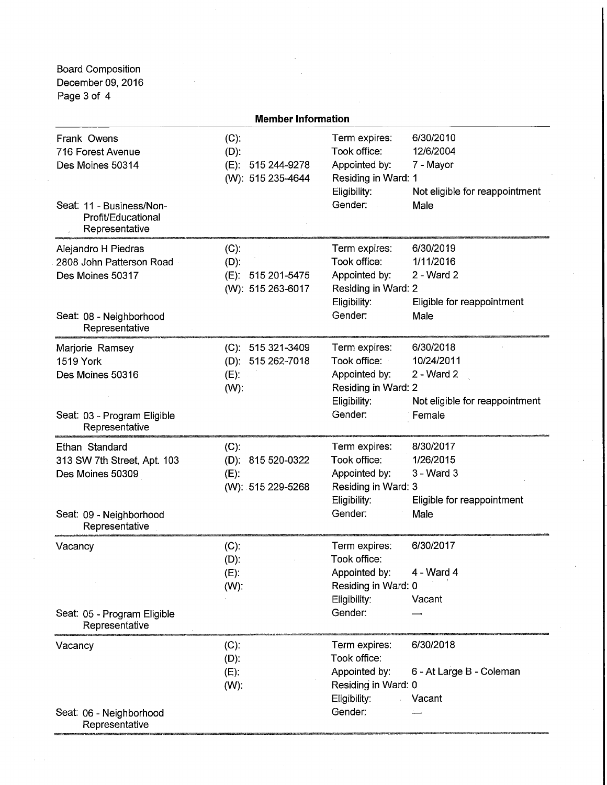Board Composition December 09, 2016 Page 3 of 4

| <b>Member Information</b>                                                                                                |                                                                    |                                                                                                  |                                                                                   |  |  |
|--------------------------------------------------------------------------------------------------------------------------|--------------------------------------------------------------------|--------------------------------------------------------------------------------------------------|-----------------------------------------------------------------------------------|--|--|
| Frank Owens<br>716 Forest Avenue<br>Des Moines 50314<br>Seat: 11 - Business/Non-<br>Profit/Educational<br>Representative | $(C)$ :<br>$(D)$ :<br>515 244-9278<br>$(E)$ :<br>(W): 515 235-4644 | Term expires:<br>Took office:<br>Appointed by:<br>Residing in Ward: 1<br>Eligibility:<br>Gender: | 6/30/2010<br>12/6/2004<br>7 - Mayor<br>Not eligible for reappointment<br>Male     |  |  |
| Alejandro H Piedras<br>2808 John Patterson Road<br>Des Moines 50317<br>Seat: 08 - Neighborhood<br>Representative         | $(C)$ :<br>$(D)$ :<br>(E): 515 201-5475<br>(W): 515 263-6017       | Term expires:<br>Took office:<br>Appointed by:<br>Residing in Ward: 2<br>Eligibility:<br>Gender: | 6/30/2019<br>1/11/2016<br>2 - Ward 2<br>Eligible for reappointment<br>Male        |  |  |
| Marjorie Ramsey<br>1519 York<br>Des Moines 50316<br>Seat: 03 - Program Eligible<br>Representative                        | (C): 515 321-3409<br>(D): 515 262-7018<br>$(E)$ :<br>$(W)$ :       | Term expires:<br>Took office:<br>Appointed by:<br>Residing in Ward: 2<br>Eligibility:<br>Gender: | 6/30/2018<br>10/24/2011<br>2 - Ward 2<br>Not eligible for reappointment<br>Female |  |  |
| Ethan Standard<br>313 SW 7th Street, Apt. 103<br>Des Moines 50309<br>Seat: 09 - Neighborhood<br>Representative           | $(C)$ :<br>(D): 815 520-0322<br>$(E)$ :<br>(W): 515 229-5268       | Term expires:<br>Took office:<br>Appointed by:<br>Residing in Ward: 3<br>Eligibility:<br>Gender: | 8/30/2017<br>1/26/2015<br>$3 - Ward$ 3<br>Eligible for reappointment<br>Male      |  |  |
| Vacancy<br>Seat: 05 - Program Eligible<br>Representative                                                                 | $(C)$ :<br>$(D)$ :<br>$(E)$ :<br>$(W)$ :                           | Term expires:<br>Took office:<br>Appointed by:<br>Residing in Ward: 0<br>Eligibility:<br>Gender: | 6/30/2017<br>4 - Ward 4<br>Vacant                                                 |  |  |
| Vacancy<br>Seat: 06 - Neighborhood<br>Representative                                                                     | $(C)$ :<br>$(D)$ :<br>(E):<br>(W):                                 | Term expires:<br>Took office:<br>Appointed by:<br>Residing in Ward: 0<br>Eligibility:<br>Gender: | 6/30/2018<br>6 - At Large B - Coleman<br>Vacant                                   |  |  |